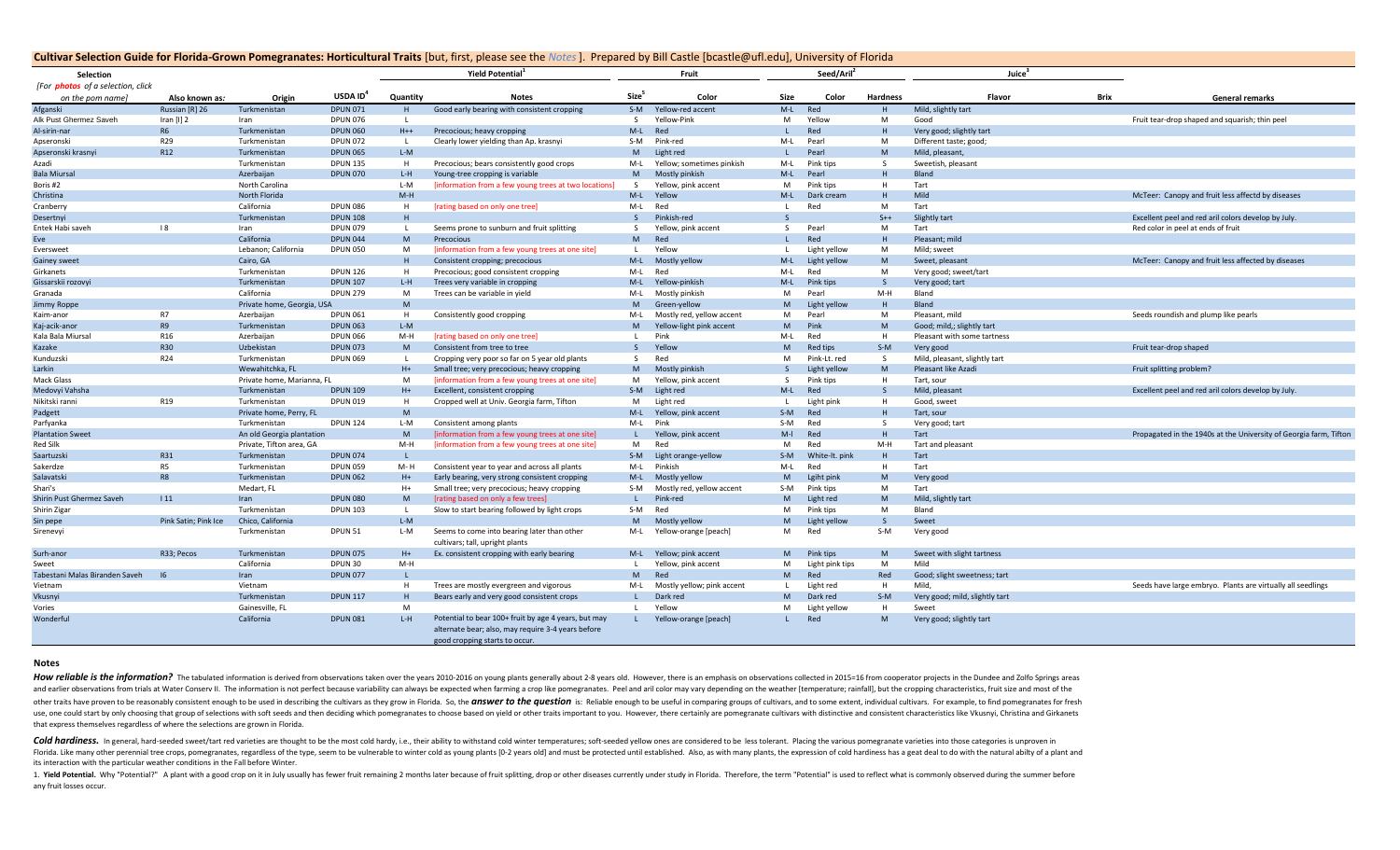## **Cultivar Selection Guide for Florida-Grown Pomegranates: Horticultural Traits** [but, first, please see the *Notes*]. Prepared by Bill Castle [bcastle@ufl.edu], University of Florida

| Selection                                |                      |                            |                      |              | <b>Yield Potential</b>                                                                                     |                   | Fruit                      |              | Seed/Aril <sup>®</sup> |                 | Juice                          |      |                                                                   |
|------------------------------------------|----------------------|----------------------------|----------------------|--------------|------------------------------------------------------------------------------------------------------------|-------------------|----------------------------|--------------|------------------------|-----------------|--------------------------------|------|-------------------------------------------------------------------|
| [For <b>photos</b> of a selection, click |                      |                            |                      |              |                                                                                                            |                   |                            |              |                        |                 |                                |      |                                                                   |
| on the pom name                          | Also known as:       | Origin                     | USDA ID <sup>4</sup> | Quantity     | <b>Notes</b>                                                                                               | Size <sup>5</sup> | Color                      | Size         | Color                  | <b>Hardness</b> | Flavor                         | Brix | <b>General remarks</b>                                            |
| Afganski                                 | Russian [R] 26       | Turkmenistan               | <b>DPUN 071</b>      | H            | Good early bearing with consistent cropping                                                                | $S-M$             | Yellow-red accent          | $M-L$        | Red                    |                 | Mild, slightly tart            |      |                                                                   |
| Alk Pust Ghermez Saveh                   | Iran $[1]$ 2         | Iran                       | <b>DPUN 076</b>      | $\mathbf{L}$ |                                                                                                            | S.                | Yellow-Pink                | M            | Yellow                 | M               | Good                           |      | Fruit tear-drop shaped and squarish; thin peel                    |
| Al-sirin-nar                             | <b>R6</b>            | Turkmenistan               | <b>DPUN 060</b>      | $H++$        | Precocious; heavy cropping                                                                                 | $M-L$             | Red                        |              | Red                    |                 | Very good; slightly tart       |      |                                                                   |
| Apseronski                               | R <sub>29</sub>      | Turkmenistan               | <b>DPUN 072</b>      | $\mathbf{L}$ | Clearly lower yielding than Ap. krasnyi                                                                    | S-M               | Pink-red                   | M-L          | Pearl                  | M               | Different taste; good;         |      |                                                                   |
| Apseronski krasnyi                       | R <sub>12</sub>      | Turkmenistan               | <b>DPUN 065</b>      | L-M          |                                                                                                            | M                 | Light red                  |              | Pearl                  | M               | Mild, pleasant,                |      |                                                                   |
| Azadi                                    |                      | Turkmenistan               | <b>DPUN 135</b>      | H            | Precocious; bears consistently good crops                                                                  | M-L               | Yellow; sometimes pinkish  | M-L          | Pink tips              | -S              | Sweetish, pleasant             |      |                                                                   |
| <b>Bala Miursal</b>                      |                      | Azerbaijan                 | <b>DPUN 070</b>      | L-H          | Young-tree cropping is variable                                                                            | M                 | Mostly pinkish             | M-L          | Pearl                  | H               | Bland                          |      |                                                                   |
| Boris #2                                 |                      | North Carolina             |                      | L-M          | [information from a few young trees at two locations]                                                      | -S                | Yellow, pink accent        | м            | Pink tips              | H               | Tart                           |      |                                                                   |
| Christina                                |                      | North Florida              |                      | $M-H$        |                                                                                                            | $M-L$             | Yellow                     | M-L          | Dark cream             |                 | Mild                           |      | McTeer: Canopy and fruit less affectd by diseases                 |
| Cranberry                                |                      | California                 | <b>DPUN 086</b>      | H            | [rating based on only one tree]                                                                            | M-L               | Red                        | $\mathbf{L}$ | Red                    | M               | Tart                           |      |                                                                   |
| Desertnyi                                |                      | Turkmenistan               | <b>DPUN 108</b>      | H            |                                                                                                            | -S                | Pinkish-red                |              |                        | $S++$           | Slightly tart                  |      | Excellent peel and red aril colors develop by July.               |
| Entek Habi saveh                         | 8                    | Iran                       | <b>DPUN 079</b>      | -L           | Seems prone to sunburn and fruit splitting                                                                 | -S                | Yellow, pink accent        | S.           | Pearl                  | M               | Tart                           |      | Red color in peel at ends of fruit                                |
| Eve                                      |                      | California                 | <b>DPUN 044</b>      | M            | Precocious                                                                                                 | M                 | Red                        |              | Red                    | H               | Pleasant; mild                 |      |                                                                   |
| Eversweet                                |                      | Lebanon; California        | <b>DPUN 050</b>      | M            | [information from a few young trees at one site]                                                           | <b>L</b>          | Yellow                     | <b>L</b>     | Light yellow           | M               | Mild; sweet                    |      |                                                                   |
| Gainey sweet                             |                      | Cairo, GA                  |                      | H            | Consistent cropping; precocious                                                                            | $M-L$             | Mostly yellow              | $M-L$        | Light yellow           | M               | Sweet, pleasant                |      | McTeer: Canopy and fruit less affected by diseases                |
| Girkanets                                |                      | Turkmenistan               | <b>DPUN 126</b>      | н.           | Precocious; good consistent cropping                                                                       | M-L               | Red                        | M-L          | Red                    | M               | Very good; sweet/tart          |      |                                                                   |
| Gissarskii rozovyi                       |                      | Turkmenistan               | <b>DPUN 107</b>      | L-H          | Trees very variable in cropping                                                                            | $M-L$             | Yellow-pinkish             | $M-L$        | <b>Pink tips</b>       |                 | Very good; tart                |      |                                                                   |
| Granada                                  |                      | California                 | <b>DPUN 279</b>      | M            | Trees can be variable in yield                                                                             | M-L               | Mostly pinkish             | м            | Pearl                  | M-H             | Bland                          |      |                                                                   |
| Jimmy Roppe                              |                      | Private home, Georgia, USA |                      | M            |                                                                                                            | M                 | Green-yellow               | M            | Light yellow           |                 | Bland                          |      |                                                                   |
| Kaim-anor                                | <b>R7</b>            | Azerbaijan                 | <b>DPUN 061</b>      | H            | Consistently good cropping                                                                                 | M-L               | Mostly red, yellow accent  | M            | Pearl                  | M               | Pleasant, mild                 |      | Seeds roundish and plump like pearls                              |
| Kaj-acik-anor                            | <b>R9</b>            | Turkmenistan               | <b>DPUN 063</b>      | L-M          |                                                                                                            | M                 | Yellow-light pink accent   | M            | Pink                   | M               | Good; mild,; slightly tart     |      |                                                                   |
| Kala Bala Miursal                        | R <sub>16</sub>      | Azerbaijan                 | <b>DPUN 066</b>      | M-H          | [rating based on only one tree]                                                                            | $\mathbf{I}$      | Pink                       | M-L          | Red                    | H               | Pleasant with some tartness    |      |                                                                   |
| Kazake                                   | <b>R30</b>           | Uzbekistan                 | <b>DPUN 073</b>      | M            | Consistent from tree to tree                                                                               | <sub>S</sub>      | Yellow                     | M            | Red tips               | $S-M$           | Very good                      |      | Fruit tear-drop shaped                                            |
| Kunduzski                                | R24                  | Turkmenistan               | <b>DPUN 069</b>      |              | Cropping very poor so far on 5 year old plants                                                             | -S                | Red                        | M            | Pink-Lt. red           | -S              | Mild, pleasant, slightly tart  |      |                                                                   |
| Larkin                                   |                      | Wewahitchka, FL            |                      | $H+$         | Small tree; very precocious; heavy cropping                                                                | M                 | Mostly pinkish             | <sub>S</sub> | Light yellow           | M               | Pleasant like Azadi            |      | Fruit splitting problem?                                          |
| <b>Mack Glass</b>                        |                      | Private home, Marianna, FL |                      | M            | [information from a few young trees at one site]                                                           | M                 | Yellow, pink accent        | S.           | Pink tips              | H               | Tart, sour                     |      |                                                                   |
| Medovyi Vahsha                           |                      | Turkmenistan               | <b>DPUN 109</b>      | $H+$         | Excellent, consistent cropping                                                                             | $S-M$             | Light red                  | $M-L$        | Red                    | <sub>S</sub>    | Mild, pleasant                 |      | Excellent peel and red aril colors develop by July.               |
| Nikitski ranni                           | R <sub>19</sub>      | Turkmenistan               | <b>DPUN 019</b>      | Н.           | Cropped well at Univ. Georgia farm, Tifton                                                                 | M                 | Light red                  | L.           | Light pink             | H               | Good, sweet                    |      |                                                                   |
| Padgett                                  |                      | Private home, Perry, FL    |                      | M            |                                                                                                            | $M-L$             | Yellow, pink accent        | $S-M$        | Red                    |                 | Tart, sour                     |      |                                                                   |
| Parfyanka                                |                      | Turkmenistan               | <b>DPUN 124</b>      | L-M          | Consistent among plants                                                                                    | M-L               | Pink                       | S-M          | Red                    | -S              | Very good; tart                |      |                                                                   |
| <b>Plantation Sweet</b>                  |                      | An old Georgia plantation  |                      | M            | [information from a few young trees at one site]                                                           |                   | Yellow, pink accent        | $M-I$        | Red                    | H               | Tart                           |      | Propagated in the 1940s at the University of Georgia farm, Tifton |
| Red Silk                                 |                      | Private, Tifton area, GA   |                      | M-H          | [information from a few young trees at one site]                                                           | M                 | Red                        | м            | Red                    | M-H             | Tart and pleasant              |      |                                                                   |
| Saartuzski                               | R31                  | Turkmenistan               | <b>DPUN 074</b>      |              |                                                                                                            | $S-M$             | Light orange-yellow        | $S-M$        | White-It. pink         |                 | Tart                           |      |                                                                   |
| Sakerdze                                 | R5                   | Turkmenistan               | <b>DPUN 059</b>      | M-H          | Consistent year to year and across all plants                                                              | M-L               | Pinkish                    | M-L          | Red                    | H               | Tart                           |      |                                                                   |
| Salavatski                               | R <sub>8</sub>       | Turkmenistan               | <b>DPUN 062</b>      | $H+$         | Early bearing, very strong consistent cropping                                                             | $M-L$             | Mostly yellow              | M            | Lgiht pink             | M               | Very good                      |      |                                                                   |
| Shari's                                  |                      | Medart, FL                 |                      | $H+$         | Small tree; very precocious; heavy cropping                                                                | S-M               | Mostly red, yellow accent  | S-M          | Pink tips              | M               | Tart                           |      |                                                                   |
| Shirin Pust Ghermez Saveh                | 11                   | Iran                       | <b>DPUN 080</b>      | M            | [rating based on only a few trees]                                                                         |                   | Pink-red                   | M            | Light red              | M               | Mild, slightly tart            |      |                                                                   |
| Shirin Zigar                             |                      | Turkmenistan               | <b>DPUN 103</b>      | <b>L</b>     | Slow to start bearing followed by light crops                                                              | S-M               | Red                        | M            | Pink tips              | M               | Bland                          |      |                                                                   |
| Sin pepe                                 | Pink Satin; Pink Ice | Chico, California          |                      | L-M          |                                                                                                            | M                 | Mostly yellow              | M            | Light yellow           | S               | Sweet                          |      |                                                                   |
| Sirenevyi                                |                      | Turkmenistan               | DPUN <sub>51</sub>   | L-M          | Seems to come into bearing later than other                                                                | M-L               | Yellow-orange [peach]      | M            | Red                    | S-M             | Very good                      |      |                                                                   |
|                                          |                      |                            |                      |              | cultivars; tall, upright plants                                                                            |                   |                            |              |                        |                 |                                |      |                                                                   |
| Surh-anor                                | R33: Pecos           | Turkmenistan               | <b>DPUN 075</b>      | $H+$         | Ex. consistent cropping with early bearing                                                                 | $M-L$             | Yellow; pink accent        | M            | Pink tips              | M               | Sweet with slight tartness     |      |                                                                   |
| Sweet                                    |                      | California                 | DPUN 30              | $M-H$        |                                                                                                            | <b>L</b>          | Yellow, pink accent        | м            | Light pink tips        | M               | Mild                           |      |                                                                   |
| Tabestani Malas Biranden Saveh           | $\overline{16}$      | Iran                       | <b>DPUN 077</b>      | $\mathbf{L}$ |                                                                                                            | M                 | Red                        | M            | Red                    | Red             | Good; slight sweetness; tart   |      |                                                                   |
| Vietnam                                  |                      | Vietnam                    |                      | H            | Trees are mostly evergreen and vigorous                                                                    | M-L               | Mostly yellow; pink accent |              | Light red              | H               | Mild.                          |      | Seeds have large embryo. Plants are virtually all seedlings       |
| Vkusnyi                                  |                      | Turkmenistan               | <b>DPUN 117</b>      | H            | Bears early and very good consistent crops                                                                 |                   | Dark red                   | M            | Dark red               | $S-M$           | Very good; mild, slightly tart |      |                                                                   |
| Vories                                   |                      | Gainesville, FL            |                      | M            |                                                                                                            | $\mathbf{L}$      | Yellow                     | M            | Light yellow           | H               | Sweet                          |      |                                                                   |
| Wonderful                                |                      | California                 | <b>DPUN 081</b>      | $L-H$        | Potential to bear 100+ fruit by age 4 years, but may<br>alternate bear; also, may require 3-4 years before |                   | Yellow-orange [peach]      |              | Red                    | M               | Very good; slightly tart       |      |                                                                   |
|                                          |                      |                            |                      |              | good cropping starts to occur.                                                                             |                   |                            |              |                        |                 |                                |      |                                                                   |

## **Notes**

How reliable is the information? The tabulated information is derived from observations taken over the years 2010-2016 on young plants generally about 2-8 years old. However, there is an emphasis on observations collected and earlier observations from trials at Water Conserv II. The information is not perfect because variability can always be expected when farming a crop like pomegranates. Peel and aril color may vary depending on the weath other traits have proven to be reasonably consistent enough to be used in describing the cultivars as they grow in Florida. So, the *answer to the question* is: Reliable enough to be useful in comparing groups of cultivars use, one could start by only choosing that group of selections with soft seeds and then deciding which pomegranates to choose based on yield or other traits important to you. However, there certainly are pomegranate cultiv that express themselves regardless of where the selections are grown in Florida.

Cold hardiness. In general, hard-seeded sweet/tart red varieties are thought to be the most cold hardy, i.e., their ability to withstand cold winter temperatures; soft-seeded yellow ones are considered to be less tolerant. Florida. Like many other perennial tree crops, pomegranates, regardless of the type, seem to be vulnerable to winter cold as young plants [0-2 years old] and must be protected until established. Also, as with many plants, its interaction with the particular weather conditions in the Fall before Winter.

1. Yield Potential. Why "Potential?" A plant with a good crop on it in July usually has fewer fruit remaining 2 months later because of fruit splitting, drop or other diseases currently under study in Florida. Therefore, t any fruit losses occur.